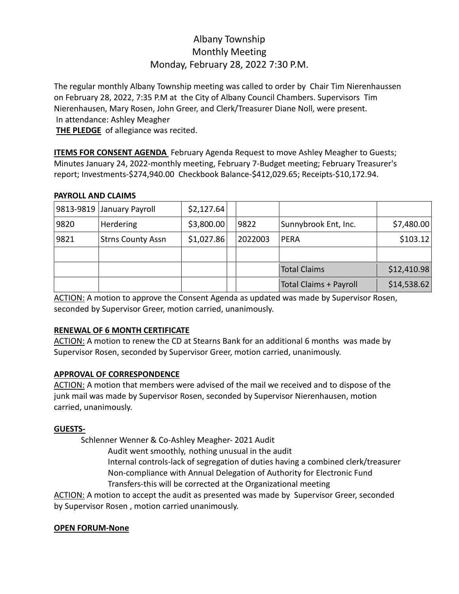# Albany Township Monthly Meeting Monday, February 28, 2022 7:30 P.M.

The regular monthly Albany Township meeting was called to order by Chair Tim Nierenhaussen on February 28, 2022, 7:35 P.M at the City of Albany Council Chambers. Supervisors Tim Nierenhausen, Mary Rosen, John Greer, and Clerk/Treasurer Diane Noll, were present. In attendance: Ashley Meagher

**THE PLEDGE** of allegiance was recited.

**ITEMS FOR CONSENT AGENDA** February Agenda Request to move Ashley Meagher to Guests; Minutes January 24, 2022-monthly meeting, February 7-Budget meeting; February Treasurer's report; Investments-\$274,940.00 Checkbook Balance-\$412,029.65; Receipts-\$10,172.94.

## **PAYROLL AND CLAIMS**

|      | 9813-9819 January Payroll | \$2,127.64 |         |                        |             |
|------|---------------------------|------------|---------|------------------------|-------------|
| 9820 | Herdering                 | \$3,800.00 | 9822    | Sunnybrook Ent, Inc.   | \$7,480.00  |
| 9821 | <b>Strns County Assn</b>  | \$1,027.86 | 2022003 | <b>PERA</b>            | \$103.12    |
|      |                           |            |         |                        |             |
|      |                           |            |         | <b>Total Claims</b>    | \$12,410.98 |
|      |                           |            |         | Total Claims + Payroll | \$14,538.62 |

ACTION: A motion to approve the Consent Agenda as updated was made by Supervisor Rosen, seconded by Supervisor Greer, motion carried, unanimously.

# **RENEWAL OF 6 MONTH CERTIFICATE**

ACTION: A motion to renew the CD at Stearns Bank for an additional 6 months was made by Supervisor Rosen, seconded by Supervisor Greer, motion carried, unanimously.

# **APPROVAL OF CORRESPONDENCE**

ACTION: A motion that members were advised of the mail we received and to dispose of the junk mail was made by Supervisor Rosen, seconded by Supervisor Nierenhausen, motion carried, unanimously.

## **GUESTS-**

Schlenner Wenner & Co-Ashley Meagher- 2021 Audit

 Audit went smoothly, nothing unusual in the audit Internal controls-lack of segregation of duties having a combined clerk/treasurer Non-compliance with Annual Delegation of Authority for Electronic Fund Transfers-this will be corrected at the Organizational meeting

ACTION: A motion to accept the audit as presented was made by Supervisor Greer, seconded by Supervisor Rosen , motion carried unanimously.

## **OPEN FORUM-None**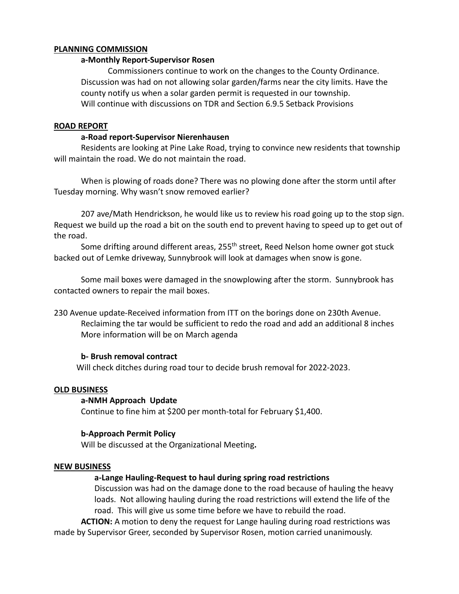#### **PLANNING COMMISSION**

#### **a-Monthly Report-Supervisor Rosen**

Commissioners continue to work on the changes to the County Ordinance. Discussion was had on not allowing solar garden/farms near the city limits. Have the county notify us when a solar garden permit is requested in our township. Will continue with discussions on TDR and Section 6.9.5 Setback Provisions

#### **ROAD REPORT**

#### **a-Road report-Supervisor Nierenhausen**

Residents are looking at Pine Lake Road, trying to convince new residents that township will maintain the road. We do not maintain the road.

When is plowing of roads done? There was no plowing done after the storm until after Tuesday morning. Why wasn't snow removed earlier?

207 ave/Math Hendrickson, he would like us to review his road going up to the stop sign. Request we build up the road a bit on the south end to prevent having to speed up to get out of the road.

Some drifting around different areas,  $255<sup>th</sup>$  street, Reed Nelson home owner got stuck backed out of Lemke driveway, Sunnybrook will look at damages when snow is gone.

Some mail boxes were damaged in the snowplowing after the storm. Sunnybrook has contacted owners to repair the mail boxes.

230 Avenue update-Received information from ITT on the borings done on 230th Avenue. Reclaiming the tar would be sufficient to redo the road and add an additional 8 inches More information will be on March agenda

#### **b- Brush removal contract**

Will check ditches during road tour to decide brush removal for 2022-2023.

#### **OLD BUSINESS**

#### **a-NMH Approach Update**

Continue to fine him at \$200 per month-total for February \$1,400.

#### **b-Approach Permit Policy**

Will be discussed at the Organizational Meeting**.** 

#### **NEW BUSINESS**

#### **a-Lange Hauling-Request to haul during spring road restrictions**

Discussion was had on the damage done to the road because of hauling the heavy loads. Not allowing hauling during the road restrictions will extend the life of the road. This will give us some time before we have to rebuild the road.

**ACTION:** A motion to deny the request for Lange hauling during road restrictions was made by Supervisor Greer, seconded by Supervisor Rosen, motion carried unanimously.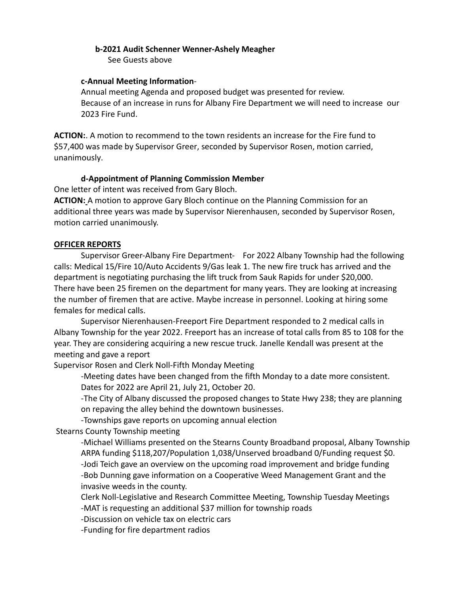## **b-2021 Audit Schenner Wenner-Ashely Meagher**

See Guests above

#### **c-Annual Meeting Information**-

Annual meeting Agenda and proposed budget was presented for review. Because of an increase in runs for Albany Fire Department we will need to increase our 2023 Fire Fund.

**ACTION:**. A motion to recommend to the town residents an increase for the Fire fund to \$57,400 was made by Supervisor Greer, seconded by Supervisor Rosen, motion carried, unanimously.

## **d-Appointment of Planning Commission Member**

One letter of intent was received from Gary Bloch.

**ACTION:** A motion to approve Gary Bloch continue on the Planning Commission for an additional three years was made by Supervisor Nierenhausen, seconded by Supervisor Rosen, motion carried unanimously.

#### **OFFICER REPORTS**

Supervisor Greer-Albany Fire Department- For 2022 Albany Township had the following calls: Medical 15/Fire 10/Auto Accidents 9/Gas leak 1. The new fire truck has arrived and the department is negotiating purchasing the lift truck from Sauk Rapids for under \$20,000. There have been 25 firemen on the department for many years. They are looking at increasing the number of firemen that are active. Maybe increase in personnel. Looking at hiring some females for medical calls.

Supervisor Nierenhausen-Freeport Fire Department responded to 2 medical calls in Albany Township for the year 2022. Freeport has an increase of total calls from 85 to 108 for the year. They are considering acquiring a new rescue truck. Janelle Kendall was present at the meeting and gave a report

Supervisor Rosen and Clerk Noll-Fifth Monday Meeting

-Meeting dates have been changed from the fifth Monday to a date more consistent. Dates for 2022 are April 21, July 21, October 20.

-The City of Albany discussed the proposed changes to State Hwy 238; they are planning on repaving the alley behind the downtown businesses.

-Townships gave reports on upcoming annual election

Stearns County Township meeting

 -Michael Williams presented on the Stearns County Broadband proposal, Albany Township ARPA funding \$118,207/Population 1,038/Unserved broadband 0/Funding request \$0. -Jodi Teich gave an overview on the upcoming road improvement and bridge funding -Bob Dunning gave information on a Cooperative Weed Management Grant and the invasive weeds in the county.

Clerk Noll-Legislative and Research Committee Meeting, Township Tuesday Meetings -MAT is requesting an additional \$37 million for township roads

-Discussion on vehicle tax on electric cars

-Funding for fire department radios